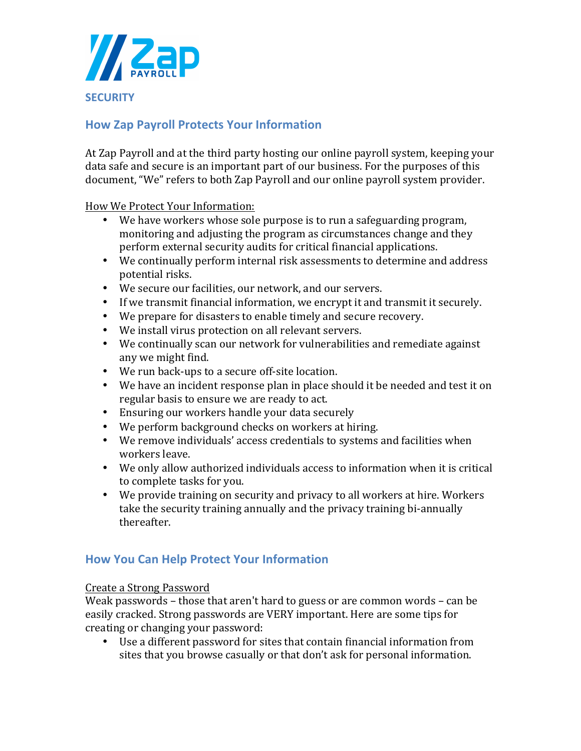

## **How Zap Payroll Protects Your Information**

At Zap Payroll and at the third party hosting our online payroll system, keeping your data safe and secure is an important part of our business. For the purposes of this document, "We" refers to both Zap Payroll and our online payroll system provider.

How We Protect Your Information:

- We have workers whose sole purpose is to run a safeguarding program, monitoring and adjusting the program as circumstances change and they perform external security audits for critical financial applications.
- We continually perform internal risk assessments to determine and address potential risks.
- We secure our facilities, our network, and our servers.
- If we transmit financial information, we encrypt it and transmit it securely.
- We prepare for disasters to enable timely and secure recovery.
- We install virus protection on all relevant servers.
- We continually scan our network for vulnerabilities and remediate against any we might find.
- We run back-ups to a secure off-site location.
- We have an incident response plan in place should it be needed and test it on regular basis to ensure we are ready to act.
- Ensuring our workers handle your data securely
- We perform background checks on workers at hiring.
- We remove individuals' access credentials to systems and facilities when workers leave.
- We only allow authorized individuals access to information when it is critical to complete tasks for you.
- We provide training on security and privacy to all workers at hire. Workers take the security training annually and the privacy training bi-annually thereafter.

# **How You Can Help Protect Your Information**

## Create a Strong Password

Weak passwords  $-$  those that aren't hard to guess or are common words  $-$  can be easily cracked. Strong passwords are VERY important. Here are some tips for creating or changing your password:

• Use a different password for sites that contain financial information from sites that you browse casually or that don't ask for personal information.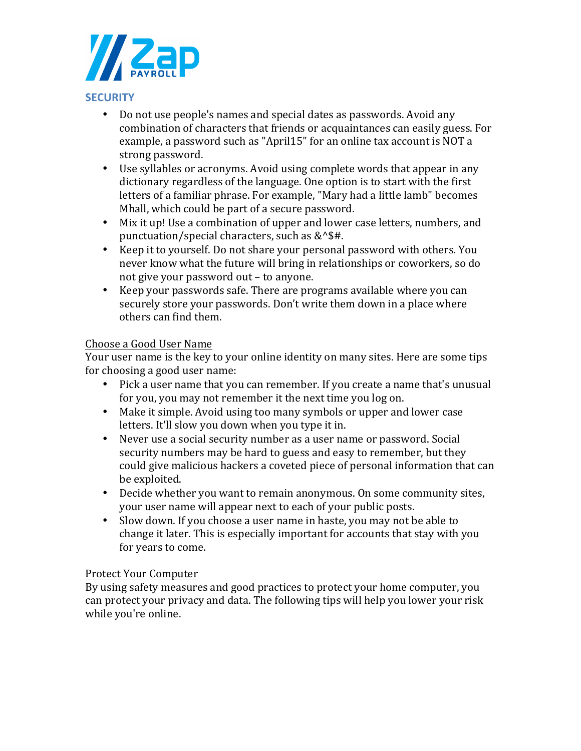

## **SECURITY**

- Do not use people's names and special dates as passwords. Avoid any combination of characters that friends or acquaintances can easily guess. For example, a password such as "April15" for an online tax account is NOT a strong password.
- Use syllables or acronyms. Avoid using complete words that appear in any dictionary regardless of the language. One option is to start with the first letters of a familiar phrase. For example, "Mary had a little lamb" becomes Mhall, which could be part of a secure password.
- Mix it up! Use a combination of upper and lower case letters, numbers, and punctuation/special characters, such as  $&$  ^\$#.
- Keep it to yourself. Do not share your personal password with others. You never know what the future will bring in relationships or coworkers, so do not give your password out - to anyone.
- Keep your passwords safe. There are programs available where you can securely store your passwords. Don't write them down in a place where others can find them.

## Choose a Good User Name

Your user name is the key to your online identity on many sites. Here are some tips for choosing a good user name:

- Pick a user name that you can remember. If you create a name that's unusual for you, you may not remember it the next time you log on.
- Make it simple. Avoid using too many symbols or upper and lower case letters. It'll slow you down when you type it in.
- Never use a social security number as a user name or password. Social security numbers may be hard to guess and easy to remember, but they could give malicious hackers a coveted piece of personal information that can be exploited.
- Decide whether you want to remain anonymous. On some community sites, your user name will appear next to each of your public posts.
- Slow down. If you choose a user name in haste, you may not be able to change it later. This is especially important for accounts that stay with you for years to come.

## Protect Your Computer

By using safety measures and good practices to protect your home computer, you can protect your privacy and data. The following tips will help you lower your risk while you're online.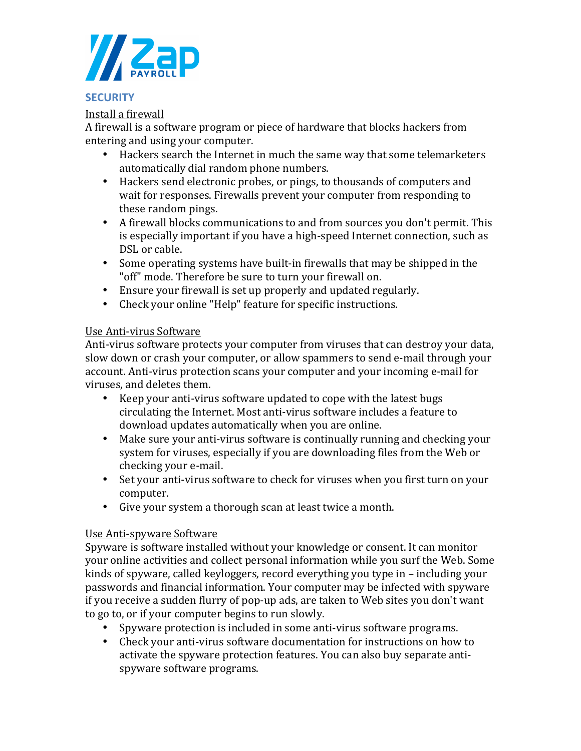

## **SECURITY**

## Install a firewall

A firewall is a software program or piece of hardware that blocks hackers from entering and using your computer.

- Hackers search the Internet in much the same way that some telemarketers automatically dial random phone numbers.
- Hackers send electronic probes, or pings, to thousands of computers and wait for responses. Firewalls prevent your computer from responding to these random pings.
- A firewall blocks communications to and from sources you don't permit. This is especially important if you have a high-speed Internet connection, such as DSL or cable.
- Some operating systems have built-in firewalls that may be shipped in the "off" mode. Therefore be sure to turn your firewall on.
- Ensure your firewall is set up properly and updated regularly.
- Check your online "Help" feature for specific instructions.

## Use Anti-virus Software

Anti-virus software protects your computer from viruses that can destroy your data, slow down or crash your computer, or allow spammers to send e-mail through your account. Anti-virus protection scans your computer and your incoming e-mail for viruses, and deletes them.

- Keep your anti-virus software updated to cope with the latest bugs circulating the Internet. Most anti-virus software includes a feature to download updates automatically when you are online.
- Make sure your anti-virus software is continually running and checking your system for viruses, especially if you are downloading files from the Web or checking your e-mail.
- Set your anti-virus software to check for viruses when you first turn on your computer.
- Give your system a thorough scan at least twice a month.

## Use Anti-spyware Software

Spyware is software installed without your knowledge or consent. It can monitor your online activities and collect personal information while you surf the Web. Some kinds of spyware, called keyloggers, record everything you type in - including your passwords and financial information. Your computer may be infected with spyware if you receive a sudden flurry of pop-up ads, are taken to Web sites you don't want to go to, or if your computer begins to run slowly.

- Spyware protection is included in some anti-virus software programs.
- Check your anti-virus software documentation for instructions on how to activate the spyware protection features. You can also buy separate antispyware software programs.